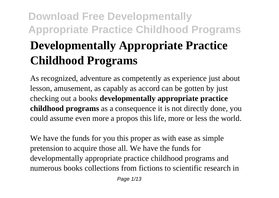# **Download Free Developmentally Appropriate Practice Childhood Programs Developmentally Appropriate Practice Childhood Programs**

As recognized, adventure as competently as experience just about lesson, amusement, as capably as accord can be gotten by just checking out a books **developmentally appropriate practice childhood programs** as a consequence it is not directly done, you could assume even more a propos this life, more or less the world.

We have the funds for you this proper as with ease as simple pretension to acquire those all. We have the funds for developmentally appropriate practice childhood programs and numerous books collections from fictions to scientific research in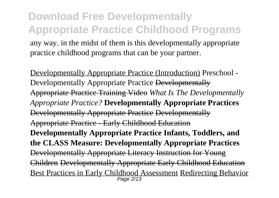**Download Free Developmentally Appropriate Practice Childhood Programs** any way. in the midst of them is this developmentally appropriate practice childhood programs that can be your partner.

Developmentally Appropriate Practice (Introduction) Preschool - Developmentally Appropriate Practice Developmentally Appropriate Practice Training Video *What Is The Developmentally Appropriate Practice?* **Developmentally Appropriate Practices** Developmentally Appropriate Practice Developmentally Appropriate Practice - Early Childhood Education **Developmentally Appropriate Practice Infants, Toddlers, and the CLASS Measure: Developmentally Appropriate Practices** Developmentally Appropriate Literacy Instruction for Young Children Developmentally Appropriate Early Childhood Education Best Practices in Early Childhood Assessment Redirecting Behavior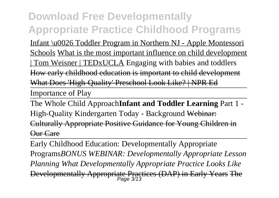Infant \u0026 Toddler Program in Northern NJ - Apple Montessori Schools What is the most important influence on child development | Tom Weisner | TEDxUCLA Engaging with babies and toddlers How early childhood education is important to child development What Does 'High-Quality' Preschool Look Like? | NPR Ed

Importance of Play

The Whole Child Approach**Infant and Toddler Learning** Part 1 - High-Quality Kindergarten Today - Background Webinar: Culturally Appropriate Positive Guidance for Young Children in Our Care

Early Childhood Education: Developmentally Appropriate Programs*BONUS WEBINAR: Developmentally Appropriate Lesson Planning What Developmentally Appropriate Practice Looks Like* Developmentally Appropriate Practices (DAP) in Early Years The Page 3/13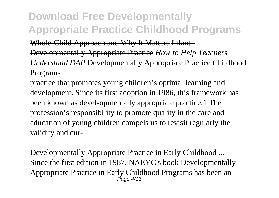Whole-Child Approach and Why It Matters Infant -

Developmentally Appropriate Practice *How to Help Teachers Understand DAP* Developmentally Appropriate Practice Childhood Programs

practice that promotes young children's optimal learning and development. Since its first adoption in 1986, this framework has been known as devel-opmentally appropriate practice.1 The profession's responsibility to promote quality in the care and education of young children compels us to revisit regularly the validity and cur-

Developmentally Appropriate Practice in Early Childhood ... Since the first edition in 1987, NAEYC's book Developmentally Appropriate Practice in Early Childhood Programs has been an Page 4/13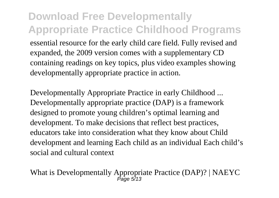#### **Download Free Developmentally Appropriate Practice Childhood Programs** essential resource for the early child care field. Fully revised and expanded, the 2009 version comes with a supplementary CD containing readings on key topics, plus video examples showing developmentally appropriate practice in action.

Developmentally Appropriate Practice in early Childhood ... Developmentally appropriate practice (DAP) is a framework designed to promote young children's optimal learning and development. To make decisions that reflect best practices, educators take into consideration what they know about Child development and learning Each child as an individual Each child's social and cultural context

What is Developmentally Appropriate Practice (DAP)? | NAEYC<br>  $P_{\text{age 5/13}}$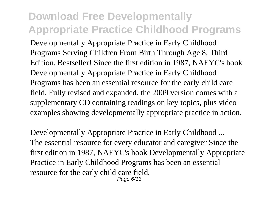Developmentally Appropriate Practice in Early Childhood Programs Serving Children From Birth Through Age 8, Third Edition. Bestseller! Since the first edition in 1987, NAEYC's book Developmentally Appropriate Practice in Early Childhood Programs has been an essential resource for the early child care field. Fully revised and expanded, the 2009 version comes with a supplementary CD containing readings on key topics, plus video examples showing developmentally appropriate practice in action.

Developmentally Appropriate Practice in Early Childhood ... The essential resource for every educator and caregiver Since the first edition in 1987, NAEYC's book Developmentally Appropriate Practice in Early Childhood Programs has been an essential resource for the early child care field. Page 6/13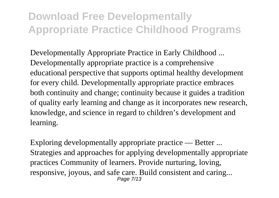Developmentally Appropriate Practice in Early Childhood ... Developmentally appropriate practice is a comprehensive educational perspective that supports optimal healthy development for every child. Developmentally appropriate practice embraces both continuity and change; continuity because it guides a tradition of quality early learning and change as it incorporates new research, knowledge, and science in regard to children's development and learning.

Exploring developmentally appropriate practice — Better ... Strategies and approaches for applying developmentally appropriate practices Community of learners. Provide nurturing, loving, responsive, joyous, and safe care. Build consistent and caring... Page 7/13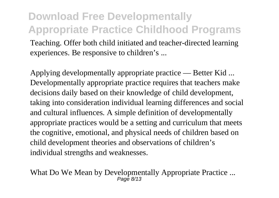#### **Download Free Developmentally Appropriate Practice Childhood Programs** Teaching. Offer both child initiated and teacher-directed learning experiences. Be responsive to children's ...

Applying developmentally appropriate practice — Better Kid ... Developmentally appropriate practice requires that teachers make decisions daily based on their knowledge of child development, taking into consideration individual learning differences and social and cultural influences. A simple definition of developmentally appropriate practices would be a setting and curriculum that meets the cognitive, emotional, and physical needs of children based on child development theories and observations of children's individual strengths and weaknesses.

What Do We Mean by Developmentally Appropriate Practice ... Page 8/13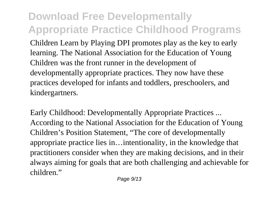Children Learn by Playing DPI promotes play as the key to early learning. The National Association for the Education of Young Children was the front runner in the development of developmentally appropriate practices. They now have these practices developed for infants and toddlers, preschoolers, and kindergartners.

Early Childhood: Developmentally Appropriate Practices ... According to the National Association for the Education of Young Children's Position Statement, "The core of developmentally appropriate practice lies in…intentionality, in the knowledge that practitioners consider when they are making decisions, and in their always aiming for goals that are both challenging and achievable for children."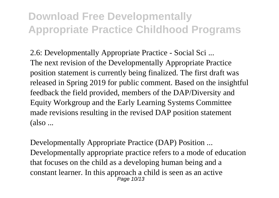2.6: Developmentally Appropriate Practice - Social Sci ... The next revision of the Developmentally Appropriate Practice position statement is currently being finalized. The first draft was released in Spring 2019 for public comment. Based on the insightful feedback the field provided, members of the DAP/Diversity and Equity Workgroup and the Early Learning Systems Committee made revisions resulting in the revised DAP position statement (also ...

Developmentally Appropriate Practice (DAP) Position ... Developmentally appropriate practice refers to a mode of education that focuses on the child as a developing human being and a constant learner. In this approach a child is seen as an active Page 10/13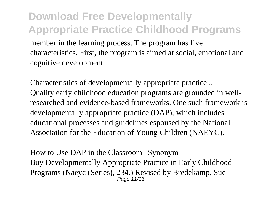#### **Download Free Developmentally Appropriate Practice Childhood Programs** member in the learning process. The program has five characteristics. First, the program is aimed at social, emotional and cognitive development.

Characteristics of developmentally appropriate practice ... Quality early childhood education programs are grounded in wellresearched and evidence-based frameworks. One such framework is developmentally appropriate practice (DAP), which includes educational processes and guidelines espoused by the National Association for the Education of Young Children (NAEYC).

How to Use DAP in the Classroom | Synonym Buy Developmentally Appropriate Practice in Early Childhood Programs (Naeyc (Series), 234.) Revised by Bredekamp, Sue Page 11/13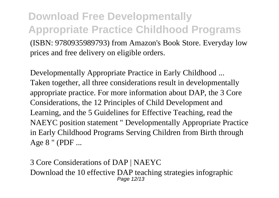**Download Free Developmentally Appropriate Practice Childhood Programs** (ISBN: 9780935989793) from Amazon's Book Store. Everyday low prices and free delivery on eligible orders.

Developmentally Appropriate Practice in Early Childhood ... Taken together, all three considerations result in developmentally appropriate practice. For more information about DAP, the 3 Core Considerations, the 12 Principles of Child Development and Learning, and the 5 Guidelines for Effective Teaching, read the NAEYC position statement " Developmentally Appropriate Practice in Early Childhood Programs Serving Children from Birth through Age 8 " (PDF ...

3 Core Considerations of DAP | NAEYC Download the 10 effective DAP teaching strategies infographic Page 12/13